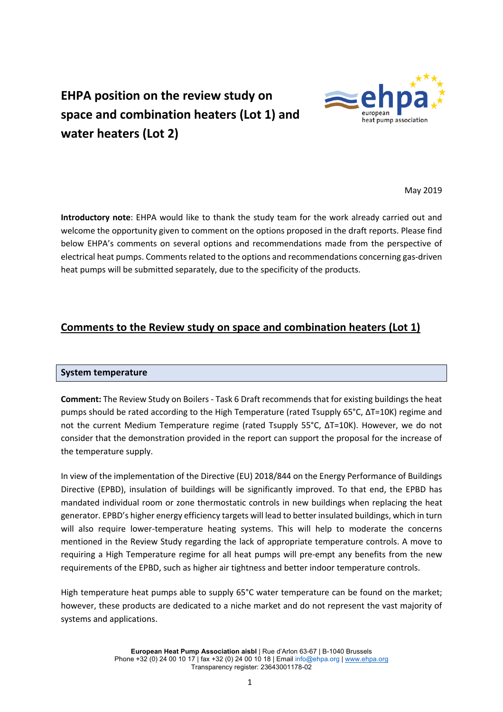

# **EHPA position on the review study on space and combination heaters (Lot 1) and water heaters (Lot 2)**

May 2019

**Introductory note**: EHPA would like to thank the study team for the work already carried out and welcome the opportunity given to comment on the options proposed in the draft reports. Please find below EHPA's comments on several options and recommendations made from the perspective of electrical heat pumps. Comments related to the options and recommendations concerning gas-driven heat pumps will be submitted separately, due to the specificity of the products.

# **Comments to the Review study on space and combination heaters (Lot 1)**

## **System temperature**

**Comment:** The Review Study on Boilers - Task 6 Draft recommends that for existing buildings the heat pumps should be rated according to the High Temperature (rated Tsupply 65°C, ΔT=10K) regime and not the current Medium Temperature regime (rated Tsupply 55°C, ΔT=10K). However, we do not consider that the demonstration provided in the report can support the proposal for the increase of the temperature supply.

In view of the implementation of the Directive (EU) 2018/844 on the Energy Performance of Buildings Directive (EPBD), insulation of buildings will be significantly improved. To that end, the EPBD has mandated individual room or zone thermostatic controls in new buildings when replacing the heat generator. EPBD's higher energy efficiency targets will lead to better insulated buildings, which in turn will also require lower-temperature heating systems. This will help to moderate the concerns mentioned in the Review Study regarding the lack of appropriate temperature controls. A move to requiring a High Temperature regime for all heat pumps will pre-empt any benefits from the new requirements of the EPBD, such as higher air tightness and better indoor temperature controls.

High temperature heat pumps able to supply 65°C water temperature can be found on the market; however, these products are dedicated to a niche market and do not represent the vast majority of systems and applications.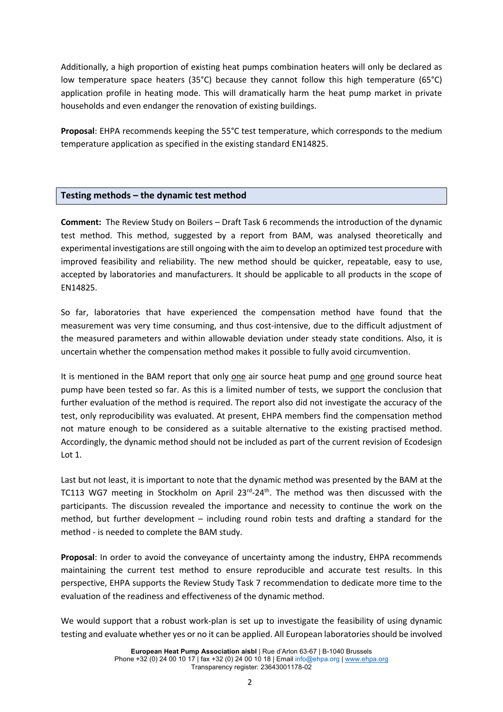Additionally, a high proportion of existing heat pumps combination heaters will only be declared as low temperature space heaters (35°C) because they cannot follow this high temperature (65°C) application profile in heating mode. This will dramatically harm the heat pump market in private households and even endanger the renovation of existing buildings.

**Proposal**: EHPA recommends keeping the 55°C test temperature, which corresponds to the medium temperature application as specified in the existing standard EN14825.

## **Testing methods – the dynamic test method**

**Comment:** The Review Study on Boilers – Draft Task 6 recommends the introduction of the dynamic test method. This method, suggested by a report from BAM, was analysed theoretically and experimental investigations are still ongoing with the aim to develop an optimized test procedure with improved feasibility and reliability. The new method should be quicker, repeatable, easy to use, accepted by laboratories and manufacturers. It should be applicable to all products in the scope of EN14825.

So far, laboratories that have experienced the compensation method have found that the measurement was very time consuming, and thus cost-intensive, due to the difficult adjustment of the measured parameters and within allowable deviation under steady state conditions. Also, it is uncertain whether the compensation method makes it possible to fully avoid circumvention.

It is mentioned in the BAM report that only one air source heat pump and one ground source heat pump have been tested so far. As this is a limited number of tests, we support the conclusion that further evaluation of the method is required. The report also did not investigate the accuracy of the test, only reproducibility was evaluated. At present, EHPA members find the compensation method not mature enough to be considered as a suitable alternative to the existing practised method. Accordingly, the dynamic method should not be included as part of the current revision of Ecodesign Lot 1.

Last but not least, it is important to note that the dynamic method was presented by the BAM at the TC113 WG7 meeting in Stockholm on April 23<sup>rd</sup>-24<sup>th</sup>. The method was then discussed with the participants. The discussion revealed the importance and necessity to continue the work on the method, but further development – including round robin tests and drafting a standard for the method - is needed to complete the BAM study.

**Proposal**: In order to avoid the conveyance of uncertainty among the industry, EHPA recommends maintaining the current test method to ensure reproducible and accurate test results. In this perspective, EHPA supports the Review Study Task 7 recommendation to dedicate more time to the evaluation of the readiness and effectiveness of the dynamic method.

We would support that a robust work-plan is set up to investigate the feasibility of using dynamic testing and evaluate whether yes or no it can be applied. All European laboratories should be involved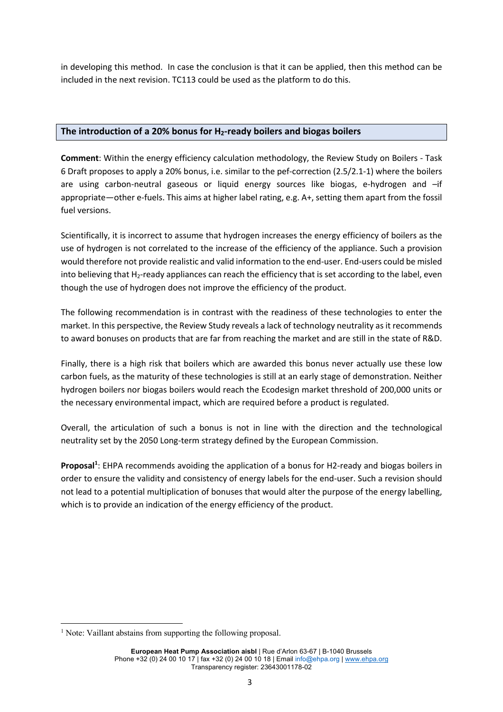in developing this method. In case the conclusion is that it can be applied, then this method can be included in the next revision. TC113 could be used as the platform to do this.

### **The introduction of a 20% bonus for H2-ready boilers and biogas boilers**

**Comment**: Within the energy efficiency calculation methodology, the Review Study on Boilers - Task 6 Draft proposes to apply a 20% bonus, i.e. similar to the pef-correction (2.5/2.1-1) where the boilers are using carbon-neutral gaseous or liquid energy sources like biogas, e-hydrogen and –if appropriate—other e-fuels. This aims at higher label rating, e.g. A+, setting them apart from the fossil fuel versions.

Scientifically, it is incorrect to assume that hydrogen increases the energy efficiency of boilers as the use of hydrogen is not correlated to the increase of the efficiency of the appliance. Such a provision would therefore not provide realistic and valid information to the end-user. End-users could be misled into believing that H<sub>2</sub>-ready appliances can reach the efficiency that is set according to the label, even though the use of hydrogen does not improve the efficiency of the product.

The following recommendation is in contrast with the readiness of these technologies to enter the market. In this perspective, the Review Study reveals a lack of technology neutrality as it recommends to award bonuses on products that are far from reaching the market and are still in the state of R&D.

Finally, there is a high risk that boilers which are awarded this bonus never actually use these low carbon fuels, as the maturity of these technologies is still at an early stage of demonstration. Neither hydrogen boilers nor biogas boilers would reach the Ecodesign market threshold of 200,000 units or the necessary environmental impact, which are required before a product is regulated.

Overall, the articulation of such a bonus is not in line with the direction and the technological neutrality set by the 2050 Long-term strategy defined by the European Commission.

Proposal<sup>1</sup>: EHPA recommends avoiding the application of a bonus for H2-ready and biogas boilers in order to ensure the validity and consistency of energy labels for the end-user. Such a revision should not lead to a potential multiplication of bonuses that would alter the purpose of the energy labelling, which is to provide an indication of the energy efficiency of the product.

<sup>&</sup>lt;sup>1</sup> Note: Vaillant abstains from supporting the following proposal.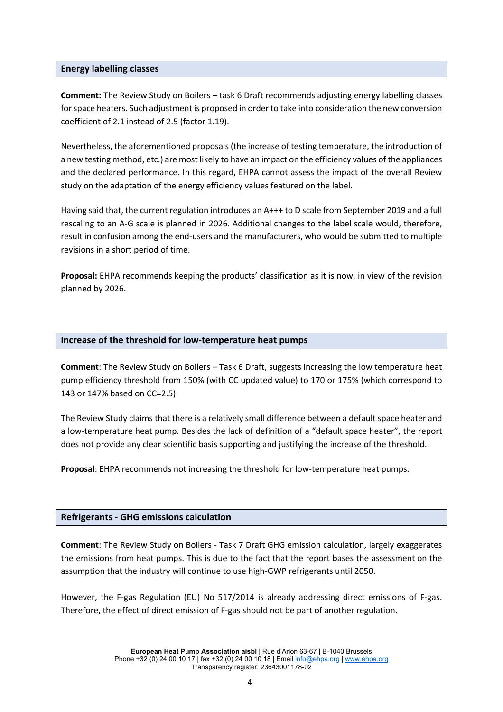#### **Energy labelling classes**

**Comment:** The Review Study on Boilers – task 6 Draft recommends adjusting energy labelling classes for space heaters. Such adjustment is proposed in order to take into consideration the new conversion coefficient of 2.1 instead of 2.5 (factor 1.19).

Nevertheless, the aforementioned proposals (the increase of testing temperature, the introduction of a new testing method, etc.) are most likely to have an impact on the efficiency values of the appliances and the declared performance. In this regard, EHPA cannot assess the impact of the overall Review study on the adaptation of the energy efficiency values featured on the label.

Having said that, the current regulation introduces an A+++ to D scale from September 2019 and a full rescaling to an A-G scale is planned in 2026. Additional changes to the label scale would, therefore, result in confusion among the end-users and the manufacturers, who would be submitted to multiple revisions in a short period of time.

**Proposal:** EHPA recommends keeping the products' classification as it is now, in view of the revision planned by 2026.

#### **Increase of the threshold for low-temperature heat pumps**

**Comment**: The Review Study on Boilers – Task 6 Draft, suggests increasing the low temperature heat pump efficiency threshold from 150% (with CC updated value) to 170 or 175% (which correspond to 143 or 147% based on CC=2.5).

The Review Study claims that there is a relatively small difference between a default space heater and a low-temperature heat pump. Besides the lack of definition of a "default space heater", the report does not provide any clear scientific basis supporting and justifying the increase of the threshold.

**Proposal**: EHPA recommends not increasing the threshold for low-temperature heat pumps.

#### **Refrigerants - GHG emissions calculation**

**Comment**: The Review Study on Boilers - Task 7 Draft GHG emission calculation, largely exaggerates the emissions from heat pumps. This is due to the fact that the report bases the assessment on the assumption that the industry will continue to use high-GWP refrigerants until 2050.

However, the F-gas Regulation (EU) No 517/2014 is already addressing direct emissions of F-gas. Therefore, the effect of direct emission of F-gas should not be part of another regulation.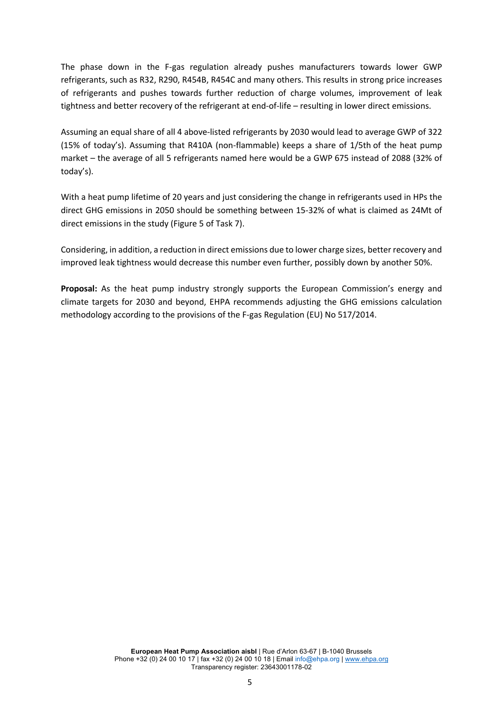The phase down in the F-gas regulation already pushes manufacturers towards lower GWP refrigerants, such as R32, R290, R454B, R454C and many others. This results in strong price increases of refrigerants and pushes towards further reduction of charge volumes, improvement of leak tightness and better recovery of the refrigerant at end-of-life – resulting in lower direct emissions.

Assuming an equal share of all 4 above-listed refrigerants by 2030 would lead to average GWP of 322 (15% of today's). Assuming that R410A (non-flammable) keeps a share of 1/5th of the heat pump market – the average of all 5 refrigerants named here would be a GWP 675 instead of 2088 (32% of today's).

With a heat pump lifetime of 20 years and just considering the change in refrigerants used in HPs the direct GHG emissions in 2050 should be something between 15-32% of what is claimed as 24Mt of direct emissions in the study (Figure 5 of Task 7).

Considering, in addition, a reduction in direct emissions due to lower charge sizes, better recovery and improved leak tightness would decrease this number even further, possibly down by another 50%.

**Proposal:** As the heat pump industry strongly supports the European Commission's energy and climate targets for 2030 and beyond, EHPA recommends adjusting the GHG emissions calculation methodology according to the provisions of the F-gas Regulation (EU) No 517/2014.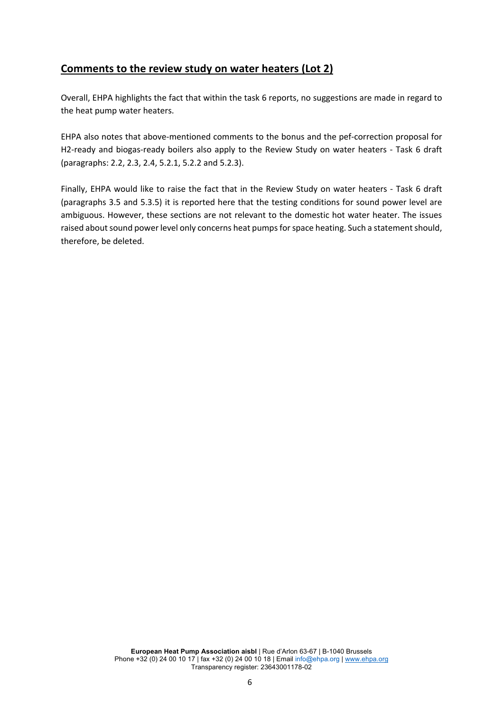# **Comments to the review study on water heaters (Lot 2)**

Overall, EHPA highlights the fact that within the task 6 reports, no suggestions are made in regard to the heat pump water heaters.

EHPA also notes that above-mentioned comments to the bonus and the pef-correction proposal for H2-ready and biogas-ready boilers also apply to the Review Study on water heaters - Task 6 draft (paragraphs: 2.2, 2.3, 2.4, 5.2.1, 5.2.2 and 5.2.3).

Finally, EHPA would like to raise the fact that in the Review Study on water heaters - Task 6 draft (paragraphs 3.5 and 5.3.5) it is reported here that the testing conditions for sound power level are ambiguous. However, these sections are not relevant to the domestic hot water heater. The issues raised about sound power level only concerns heat pumps for space heating. Such a statement should, therefore, be deleted.